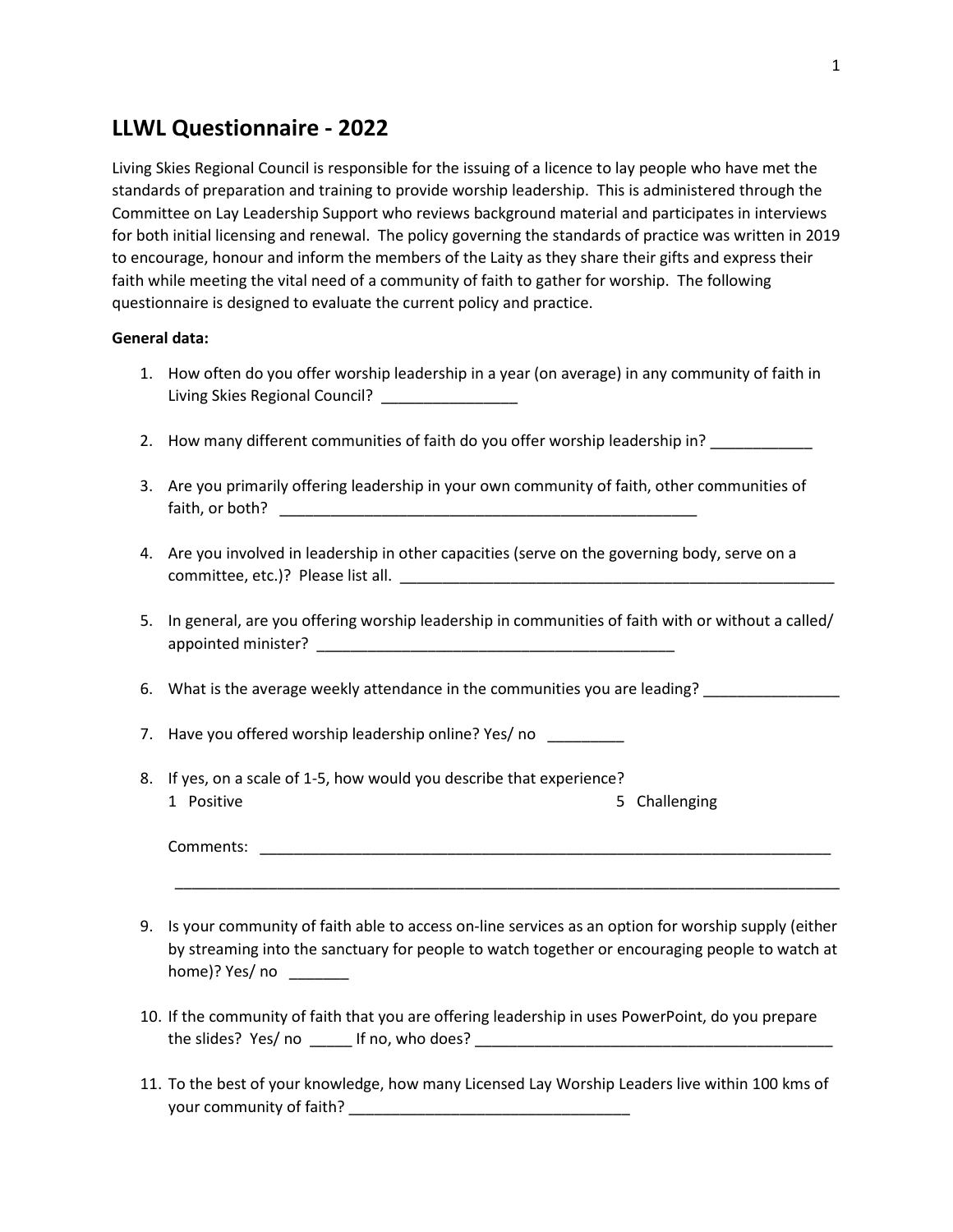# **LLWL Questionnaire - 2022**

Living Skies Regional Council is responsible for the issuing of a licence to lay people who have met the standards of preparation and training to provide worship leadership. This is administered through the Committee on Lay Leadership Support who reviews background material and participates in interviews for both initial licensing and renewal. The policy governing the standards of practice was written in 2019 to encourage, honour and inform the members of the Laity as they share their gifts and express their faith while meeting the vital need of a community of faith to gather for worship. The following questionnaire is designed to evaluate the current policy and practice.

### **General data:**

- 1. How often do you offer worship leadership in a year (on average) in any community of faith in Living Skies Regional Council? \_\_\_\_\_\_\_\_\_\_\_\_\_\_\_\_
- 2. How many different communities of faith do you offer worship leadership in? \_\_\_\_\_\_\_\_\_
- 3. Are you primarily offering leadership in your own community of faith, other communities of faith, or both? **Example 20**
- 4. Are you involved in leadership in other capacities (serve on the governing body, serve on a committee, etc.)? Please list all.
- 5. In general, are you offering worship leadership in communities of faith with or without a called/ appointed minister?

6. What is the average weekly attendance in the communities you are leading?

7. Have you offered worship leadership online? Yes/ no \_\_\_\_\_\_\_\_\_

8. If yes, on a scale of 1-5, how would you describe that experience? 1 Positive 1 Positive 1 Positive 1 Positive 1 Positive 1 Positive 1 Positive 1 Positive 1 Positive 1 Positive

Comments:

9. Is your community of faith able to access on-line services as an option for worship supply (either by streaming into the sanctuary for people to watch together or encouraging people to watch at home)? Yes/ no

\_\_\_\_\_\_\_\_\_\_\_\_\_\_\_\_\_\_\_\_\_\_\_\_\_\_\_\_\_\_\_\_\_\_\_\_\_\_\_\_\_\_\_\_\_\_\_\_\_\_\_\_\_\_\_\_\_\_\_\_\_\_\_\_\_\_\_\_\_\_\_\_\_\_\_\_\_\_

- 10. If the community of faith that you are offering leadership in uses PowerPoint, do you prepare the slides? Yes/ no \_\_\_\_\_ If no, who does? \_\_\_\_\_\_\_\_\_\_\_\_\_\_\_\_\_\_\_\_\_\_\_\_\_\_\_\_\_\_\_\_\_\_\_\_\_\_\_\_\_\_
- 11. To the best of your knowledge, how many Licensed Lay Worship Leaders live within 100 kms of your community of faith?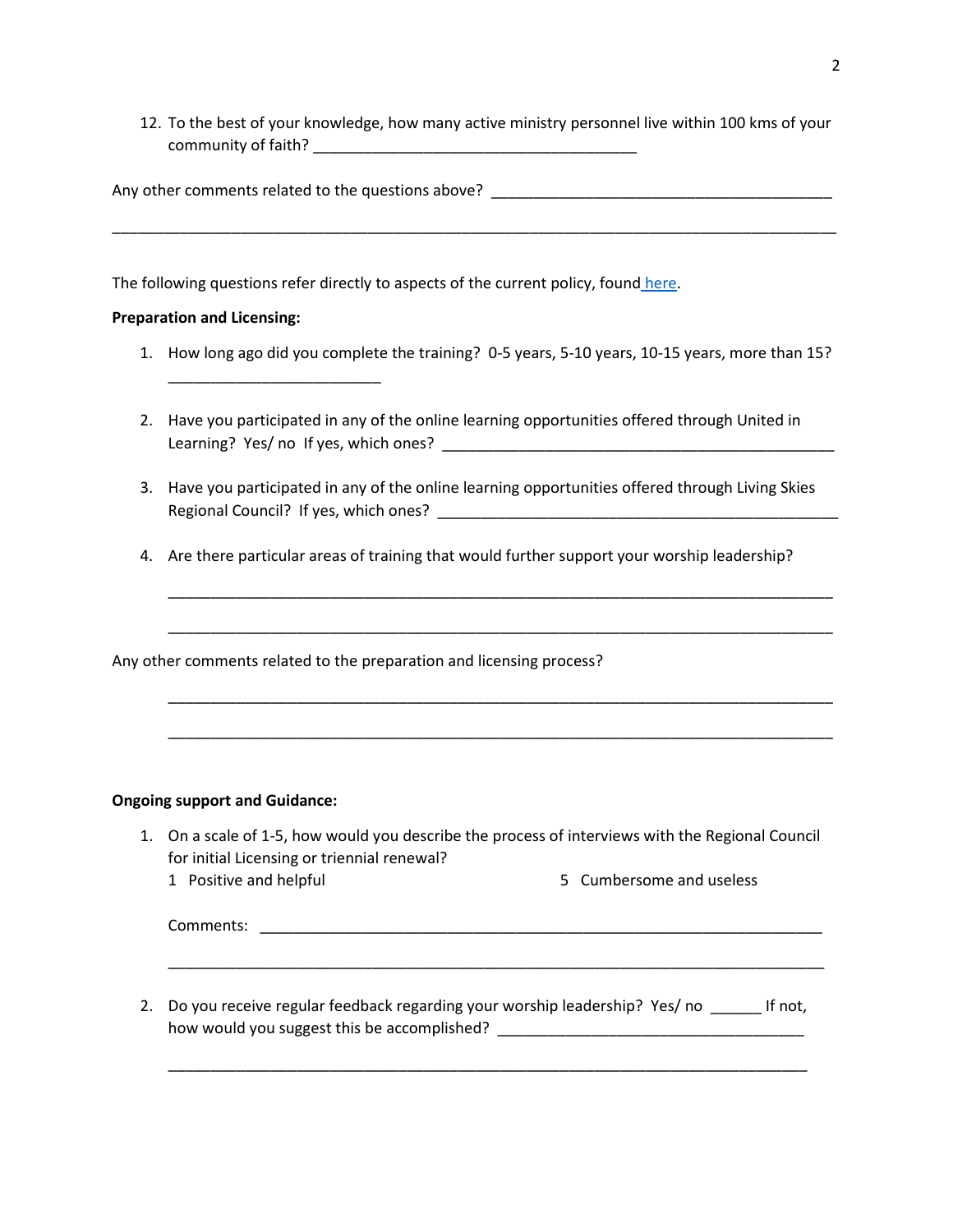12. To the best of your knowledge, how many active ministry personnel live within 100 kms of your community of faith? \_\_\_\_\_\_\_\_\_\_\_\_\_\_\_\_\_\_\_\_\_\_\_\_\_\_\_\_\_\_\_\_\_\_\_\_\_\_

| Any other comments related to the questions above?                                                  |
|-----------------------------------------------------------------------------------------------------|
|                                                                                                     |
| The following questions refer directly to aspects of the current policy, found here.                |
| <b>Preparation and Licensing:</b>                                                                   |
| How long ago did you complete the training? 0-5 years, 5-10 years, 10-15 years, more than 15?<br>1. |
|                                                                                                     |

- 2. Have you participated in any of the online learning opportunities offered through United in Learning? Yes/ no If yes, which ones? \_\_\_\_\_\_\_\_\_\_\_\_\_\_\_\_\_\_\_\_\_\_\_\_\_\_\_\_\_\_\_\_\_\_\_\_\_\_\_\_\_\_\_\_\_\_
- 3. Have you participated in any of the online learning opportunities offered through Living Skies Regional Council? If yes, which ones? \_\_\_\_\_\_\_\_\_\_\_\_\_\_\_\_\_\_\_\_\_\_\_\_\_\_\_\_\_\_\_\_\_\_\_\_\_\_\_\_\_\_\_\_\_\_\_
- 4. Are there particular areas of training that would further support your worship leadership?

\_\_\_\_\_\_\_\_\_\_\_\_\_\_\_\_\_\_\_\_\_\_\_\_\_\_\_\_\_\_\_\_\_\_\_\_\_\_\_\_\_\_\_\_\_\_\_\_\_\_\_\_\_\_\_\_\_\_\_\_\_\_\_\_\_\_\_\_\_\_\_\_\_\_\_\_\_\_

\_\_\_\_\_\_\_\_\_\_\_\_\_\_\_\_\_\_\_\_\_\_\_\_\_\_\_\_\_\_\_\_\_\_\_\_\_\_\_\_\_\_\_\_\_\_\_\_\_\_\_\_\_\_\_\_\_\_\_\_\_\_\_\_\_\_\_\_\_\_\_\_\_\_\_\_\_\_

\_\_\_\_\_\_\_\_\_\_\_\_\_\_\_\_\_\_\_\_\_\_\_\_\_\_\_\_\_\_\_\_\_\_\_\_\_\_\_\_\_\_\_\_\_\_\_\_\_\_\_\_\_\_\_\_\_\_\_\_\_\_\_\_\_\_\_\_\_\_\_\_\_\_\_\_\_\_

\_\_\_\_\_\_\_\_\_\_\_\_\_\_\_\_\_\_\_\_\_\_\_\_\_\_\_\_\_\_\_\_\_\_\_\_\_\_\_\_\_\_\_\_\_\_\_\_\_\_\_\_\_\_\_\_\_\_\_\_\_\_\_\_\_\_\_\_\_\_\_\_\_\_\_\_\_\_

Any other comments related to the preparation and licensing process?

## **Ongoing support and Guidance:**

- 1. On a scale of 1-5, how would you describe the process of interviews with the Regional Council for initial Licensing or triennial renewal?
	- 1 Positive and helpful 5 Cumbersome and useless

Comments: \_\_\_\_\_\_\_\_\_\_\_\_\_\_\_\_\_\_\_\_\_\_\_\_\_\_\_\_\_\_\_\_\_\_\_\_\_\_\_\_\_\_\_\_\_\_\_\_\_\_\_\_\_\_\_\_\_\_\_\_\_\_\_\_\_\_

2. Do you receive regular feedback regarding your worship leadership? Yes/ no \_\_\_\_\_\_ If not, how would you suggest this be accomplished? \_\_\_\_\_\_\_\_\_\_\_\_\_\_\_\_\_\_\_\_\_\_\_\_\_\_\_\_\_\_\_\_\_\_\_\_

\_\_\_\_\_\_\_\_\_\_\_\_\_\_\_\_\_\_\_\_\_\_\_\_\_\_\_\_\_\_\_\_\_\_\_\_\_\_\_\_\_\_\_\_\_\_\_\_\_\_\_\_\_\_\_\_\_\_\_\_\_\_\_\_\_\_\_\_\_\_\_\_\_\_\_

\_\_\_\_\_\_\_\_\_\_\_\_\_\_\_\_\_\_\_\_\_\_\_\_\_\_\_\_\_\_\_\_\_\_\_\_\_\_\_\_\_\_\_\_\_\_\_\_\_\_\_\_\_\_\_\_\_\_\_\_\_\_\_\_\_\_\_\_\_\_\_\_\_\_\_\_\_